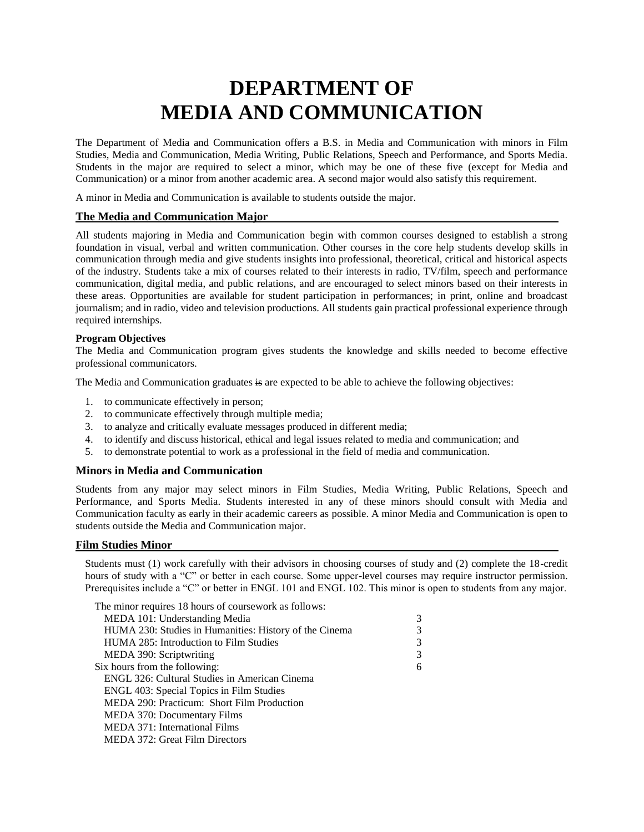# **DEPARTMENT OF MEDIA AND COMMUNICATION**

The Department of Media and Communication offers a B.S. in Media and Communication with minors in Film Studies, Media and Communication, Media Writing, Public Relations, Speech and Performance, and Sports Media. Students in the major are required to select a minor, which may be one of these five (except for Media and Communication) or a minor from another academic area. A second major would also satisfy this requirement.

A minor in Media and Communication is available to students outside the major.

#### **The Media and Communication Major**

All students majoring in Media and Communication begin with common courses designed to establish a strong foundation in visual, verbal and written communication. Other courses in the core help students develop skills in communication through media and give students insights into professional, theoretical, critical and historical aspects of the industry. Students take a mix of courses related to their interests in radio, TV/film, speech and performance communication, digital media, and public relations, and are encouraged to select minors based on their interests in these areas. Opportunities are available for student participation in performances; in print, online and broadcast journalism; and in radio, video and television productions. All students gain practical professional experience through required internships.

#### **Program Objectives**

The Media and Communication program gives students the knowledge and skills needed to become effective professional communicators.

The Media and Communication graduates is are expected to be able to achieve the following objectives:

- 1. to communicate effectively in person;
- 2. to communicate effectively through multiple media;
- 3. to analyze and critically evaluate messages produced in different media;
- 4. to identify and discuss historical, ethical and legal issues related to media and communication; and
- 5. to demonstrate potential to work as a professional in the field of media and communication.

#### **Minors in Media and Communication**

Students from any major may select minors in Film Studies, Media Writing, Public Relations, Speech and Performance, and Sports Media. Students interested in any of these minors should consult with Media and Communication faculty as early in their academic careers as possible. A minor Media and Communication is open to students outside the Media and Communication major.

#### **Film Studies Minor**

Students must (1) work carefully with their advisors in choosing courses of study and (2) complete the 18-credit hours of study with a "C" or better in each course. Some upper-level courses may require instructor permission. Prerequisites include a "C" or better in ENGL 101 and ENGL 102. This minor is open to students from any major.

| The minor requires 18 hours of coursework as follows:  |   |
|--------------------------------------------------------|---|
| MEDA 101: Understanding Media                          | 3 |
| HUMA 230: Studies in Humanities: History of the Cinema |   |
| HUMA 285: Introduction to Film Studies                 | 3 |
| MEDA 390: Scriptwriting                                | 3 |
| Six hours from the following:                          | 6 |
| ENGL 326: Cultural Studies in American Cinema          |   |
| ENGL 403: Special Topics in Film Studies               |   |
| MEDA 290: Practicum: Short Film Production             |   |
| <b>MEDA 370: Documentary Films</b>                     |   |
| MEDA 371: International Films                          |   |
| MEDA 372: Great Film Directors                         |   |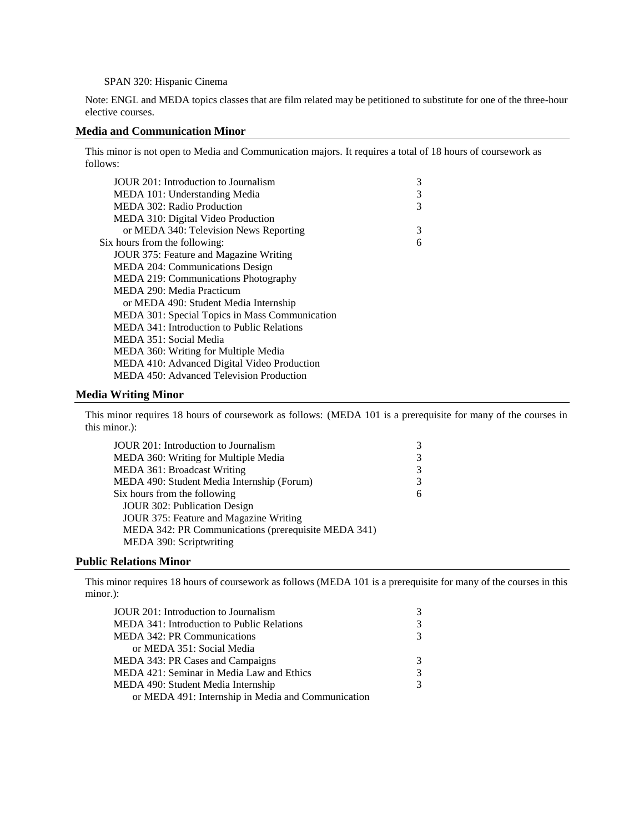#### SPAN 320: Hispanic Cinema

Note: ENGL and MEDA topics classes that are film related may be petitioned to substitute for one of the three-hour elective courses.

#### **Media and Communication Minor**

This minor is not open to Media and Communication majors. It requires a total of 18 hours of coursework as follows:

| JOUR 201: Introduction to Journalism           | 3 |
|------------------------------------------------|---|
| MEDA 101: Understanding Media                  | 3 |
| MEDA 302: Radio Production                     | 3 |
| MEDA 310: Digital Video Production             |   |
| or MEDA 340: Television News Reporting         | 3 |
| Six hours from the following:                  | 6 |
| JOUR 375: Feature and Magazine Writing         |   |
| MEDA 204: Communications Design                |   |
| MEDA 219: Communications Photography           |   |
| MEDA 290: Media Practicum                      |   |
| or MEDA 490: Student Media Internship          |   |
| MEDA 301: Special Topics in Mass Communication |   |
| MEDA 341: Introduction to Public Relations     |   |
| MEDA 351: Social Media                         |   |
| MEDA 360: Writing for Multiple Media           |   |
| MEDA 410: Advanced Digital Video Production    |   |
| MEDA 450: Advanced Television Production       |   |

#### **Media Writing Minor**

This minor requires 18 hours of coursework as follows: (MEDA 101 is a prerequisite for many of the courses in this minor.):

| JOUR 201: Introduction to Journalism                | 3 |
|-----------------------------------------------------|---|
| MEDA 360: Writing for Multiple Media                | 3 |
| <b>MEDA 361: Broadcast Writing</b>                  | 3 |
| MEDA 490: Student Media Internship (Forum)          | 3 |
| Six hours from the following                        | 6 |
| JOUR 302: Publication Design                        |   |
| JOUR 375: Feature and Magazine Writing              |   |
| MEDA 342: PR Communications (prerequisite MEDA 341) |   |
| MEDA 390: Scriptwriting                             |   |

#### **Public Relations Minor**

This minor requires 18 hours of coursework as follows (MEDA 101 is a prerequisite for many of the courses in this minor.):

| JOUR 201: Introduction to Journalism               |               |
|----------------------------------------------------|---------------|
| <b>MEDA 341: Introduction to Public Relations</b>  | 3             |
| <b>MEDA 342: PR Communications</b>                 | $\mathcal{R}$ |
| or MEDA 351: Social Media                          |               |
| MEDA 343: PR Cases and Campaigns                   |               |
| MEDA 421: Seminar in Media Law and Ethics          |               |
| MEDA 490: Student Media Internship                 |               |
| or MEDA 491: Internship in Media and Communication |               |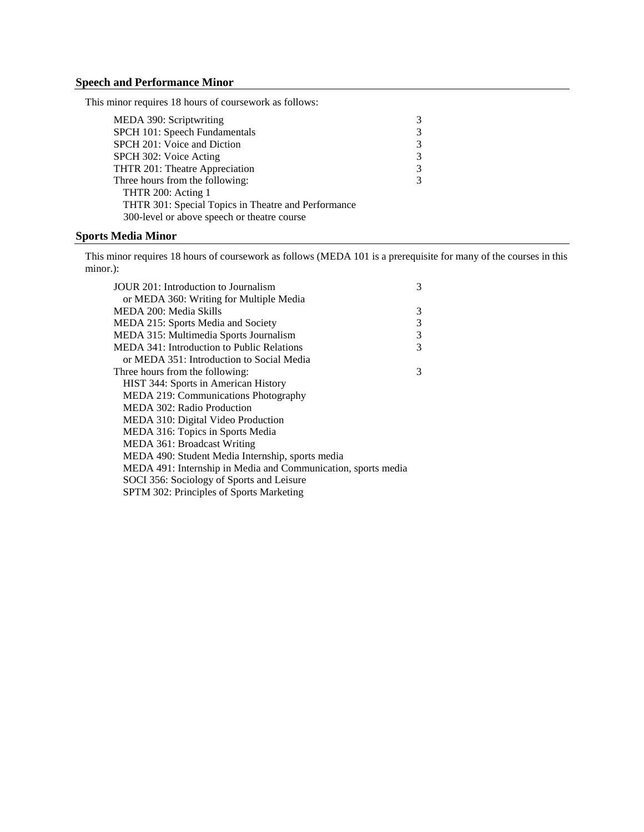# **Speech and Performance Minor**

This minor requires 18 hours of coursework as follows:

| MEDA 390: Scriptwriting                             | 3 |
|-----------------------------------------------------|---|
| SPCH 101: Speech Fundamentals                       | 3 |
| SPCH 201: Voice and Diction                         | 3 |
| SPCH 302: Voice Acting                              | 3 |
| THTR 201: Theatre Appreciation                      | 3 |
| Three hours from the following:                     | 3 |
| THTR 200: Acting 1                                  |   |
| THTR 301: Special Topics in Theatre and Performance |   |
| 300-level or above speech or theatre course         |   |

## **Sports Media Minor**

This minor requires 18 hours of coursework as follows (MEDA 101 is a prerequisite for many of the courses in this minor.):

| JOUR 201: Introduction to Journalism                          | 3 |
|---------------------------------------------------------------|---|
| or MEDA 360: Writing for Multiple Media                       |   |
| MEDA 200: Media Skills                                        | 3 |
| MEDA 215: Sports Media and Society                            | 3 |
| MEDA 315: Multimedia Sports Journalism                        | 3 |
| MEDA 341: Introduction to Public Relations                    | 3 |
| or MEDA 351: Introduction to Social Media                     |   |
| Three hours from the following:                               | 3 |
| HIST 344: Sports in American History                          |   |
| MEDA 219: Communications Photography                          |   |
| MEDA 302: Radio Production                                    |   |
| MEDA 310: Digital Video Production                            |   |
| MEDA 316: Topics in Sports Media                              |   |
| MEDA 361: Broadcast Writing                                   |   |
| MEDA 490: Student Media Internship, sports media              |   |
| MEDA 491: Internship in Media and Communication, sports media |   |
| SOCI 356: Sociology of Sports and Leisure                     |   |
| SPTM 302: Principles of Sports Marketing                      |   |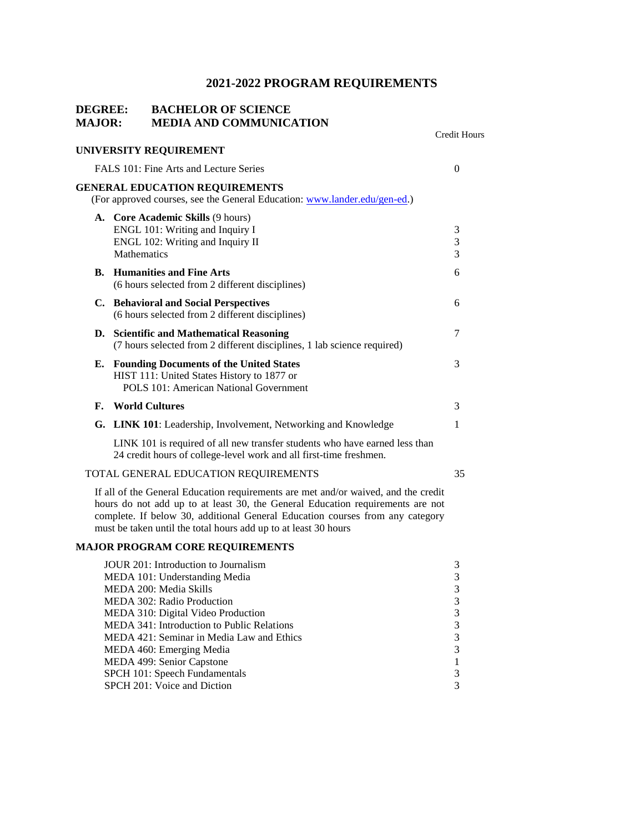# **2021-2022 PROGRAM REQUIREMENTS**

# **DEGREE: BACHELOR OF SCIENCE MAJOR: MEDIA AND COMMUNICATION**

|    | <b>INIEDIA ARD COMMUNI</b>                                                                                                                                                                                                                                                                                               | <b>Credit Hours</b>                                  |
|----|--------------------------------------------------------------------------------------------------------------------------------------------------------------------------------------------------------------------------------------------------------------------------------------------------------------------------|------------------------------------------------------|
|    | UNIVERSITY REQUIREMENT                                                                                                                                                                                                                                                                                                   |                                                      |
|    | FALS 101: Fine Arts and Lecture Series                                                                                                                                                                                                                                                                                   | $\overline{0}$                                       |
|    | <b>GENERAL EDUCATION REQUIREMENTS</b><br>(For approved courses, see the General Education: www.lander.edu/gen-ed.)                                                                                                                                                                                                       |                                                      |
|    | A. Core Academic Skills (9 hours)<br>ENGL 101: Writing and Inquiry I<br>ENGL 102: Writing and Inquiry II<br><b>Mathematics</b>                                                                                                                                                                                           | 3<br>3<br>3                                          |
| В. | <b>Humanities and Fine Arts</b><br>(6 hours selected from 2 different disciplines)                                                                                                                                                                                                                                       | 6                                                    |
|    | C. Behavioral and Social Perspectives<br>(6 hours selected from 2 different disciplines)                                                                                                                                                                                                                                 | 6                                                    |
| D. | <b>Scientific and Mathematical Reasoning</b><br>(7 hours selected from 2 different disciplines, 1 lab science required)                                                                                                                                                                                                  | 7                                                    |
| Е. | <b>Founding Documents of the United States</b><br>HIST 111: United States History to 1877 or<br>POLS 101: American National Government                                                                                                                                                                                   | 3                                                    |
| F. | <b>World Cultures</b>                                                                                                                                                                                                                                                                                                    | 3                                                    |
|    | G. LINK 101: Leadership, Involvement, Networking and Knowledge                                                                                                                                                                                                                                                           | 1                                                    |
|    | LINK 101 is required of all new transfer students who have earned less than<br>24 credit hours of college-level work and all first-time freshmen.                                                                                                                                                                        |                                                      |
|    | TOTAL GENERAL EDUCATION REQUIREMENTS                                                                                                                                                                                                                                                                                     | 35                                                   |
|    | If all of the General Education requirements are met and/or waived, and the credit<br>hours do not add up to at least 30, the General Education requirements are not<br>complete. If below 30, additional General Education courses from any category<br>must be taken until the total hours add up to at least 30 hours |                                                      |
|    | <b>MAJOR PROGRAM CORE REQUIREMENTS</b>                                                                                                                                                                                                                                                                                   |                                                      |
|    | JOUR 201: Introduction to Journalism<br>MEDA 101: Understanding Media<br>MEDA 200: Media Skills<br><b>MEDA 302: Radio Production</b><br>MEDA 310: Digital Video Production<br>MEDA 341: Introduction to Public Relations                                                                                                 | $\mathfrak{Z}$<br>3<br>$\mathfrak{Z}$<br>3<br>3<br>3 |
|    | MEDA 421: Seminar in Media Law and Ethics<br>MEDA 460: Emerging Media                                                                                                                                                                                                                                                    | 3<br>3                                               |

MEDA 499: Senior Capstone 1

SPCH 101: Speech Fundamentals 3 SPCH 201: Voice and Diction 3